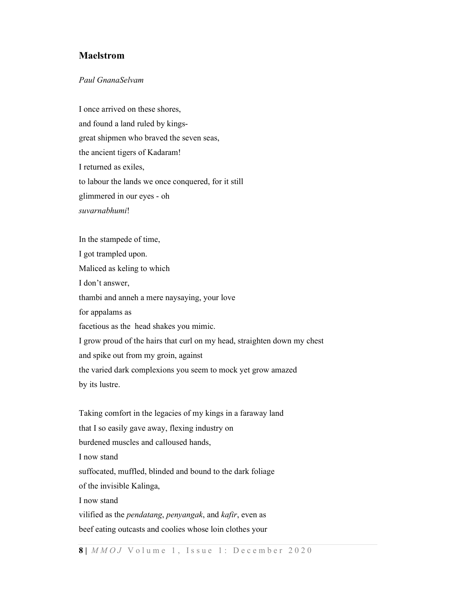## Maelstrom

## Paul GnanaSelvam

I once arrived on these shores, and found a land ruled by kingsgreat shipmen who braved the seven seas, the ancient tigers of Kadaram! I returned as exiles, to labour the lands we once conquered, for it still glimmered in our eyes - oh suvarnabhumi!

In the stampede of time, I got trampled upon. Maliced as keling to which I don't answer, thambi and anneh a mere naysaying, your love for appalams as facetious as the head shakes you mimic. I grow proud of the hairs that curl on my head, straighten down my chest and spike out from my groin, against the varied dark complexions you seem to mock yet grow amazed by its lustre. Taking comfort in the legacies of my kings in a faraway land that I so easily gave away, flexing industry on burdened muscles and calloused hands, I now stand suffocated, muffled, blinded and bound to the dark foliage

of the invisible Kalinga,

I now stand

vilified as the *pendatang*, *penyangak*, and *kafir*, even as

beef eating outcasts and coolies whose loin clothes your